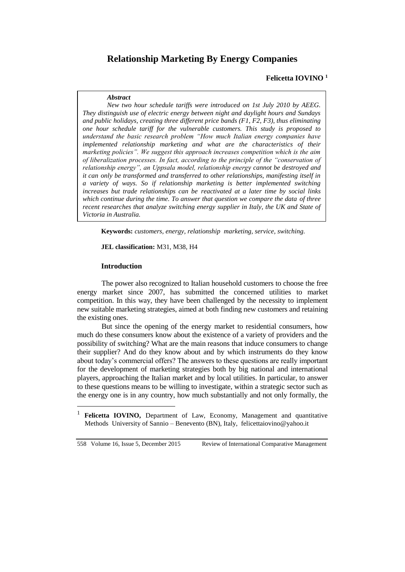# **Relationship Marketing By Energy Companies**

### **Felicetta IOVINO <sup>1</sup>**

#### *Abstract*

*New two hour schedule tariffs were introduced on 1st July 2010 by AEEG. They distinguish use of electric energy between night and daylight hours and Sundays and public holidays, creating three different price bands (F1, F2, F3), thus eliminating one hour schedule tariff for the vulnerable customers. This study is proposed to understand the basic research problem "How much Italian energy companies have implemented relationship marketing and what are the characteristics of their marketing policies". We suggest this approach increases competition which is the aim of liberalization processes. In fact, according to the principle of the "conservation of relationship energy", an Uppsala model, relationship energy cannot be destroyed and it can only be transformed and transferred to other relationships, manifesting itself in a variety of ways. So if relationship marketing is better implemented switching increases but trade relationships can be reactivated at a later time by social links which continue during the time. To answer that question we compare the data of three recent researches that analyze switching energy supplier in Italy, the UK and State of Victoria in Australia.* 

**Keywords:** *customers, energy, relationship marketing, service, switching.*

**JEL classification:** M31, M38, H4

#### **Introduction**

 $\overline{a}$ 

The power also recognized to Italian household customers to choose the free energy market since 2007, has submitted the concerned utilities to market competition. In this way, they have been challenged by the necessity to implement new suitable marketing strategies, aimed at both finding new customers and retaining the existing ones.

But since the opening of the energy market to residential consumers, how much do these consumers know about the existence of a variety of providers and the possibility of switching? What are the main reasons that induce consumers to change their supplier? And do they know about and by which instruments do they know about today's commercial offers? The answers to these questions are really important for the development of marketing strategies both by big national and international players, approaching the Italian market and by local utilities. In particular, to answer to these questions means to be willing to investigate, within a strategic sector such as the energy one is in any country, how much substantially and not only formally, the

<sup>&</sup>lt;sup>1</sup> **Felicetta IOVINO,** Department of Law, Economy, Management and quantitative Methods University of Sannio – Benevento (BN), Italy, felicettaiovino@yahoo.it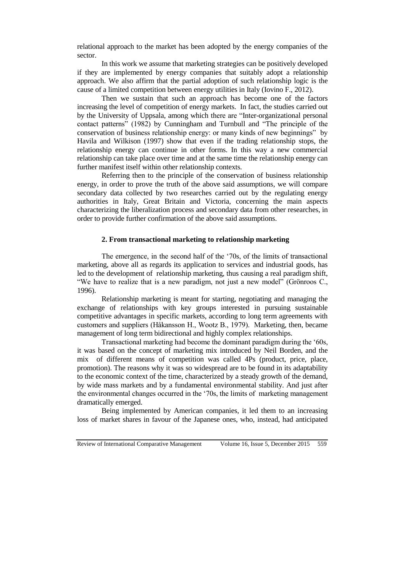relational approach to the market has been adopted by the energy companies of the sector.

In this work we assume that marketing strategies can be positively developed if they are implemented by energy companies that suitably adopt a relationship approach. We also affirm that the partial adoption of such relationship logic is the cause of a limited competition between energy utilities in Italy (Iovino F., 2012).

Then we sustain that such an approach has become one of the factors increasing the level of competition of energy markets. In fact, the studies carried out by the University of Uppsala, among which there are "Inter-organizational personal contact patterns" (1982) by Cunningham and Turnbull and "The principle of the conservation of business relationship energy: or many kinds of new beginnings" by Havila and Wilkison (1997) show that even if the trading relationship stops, the relationship energy can continue in other forms. In this way a new commercial relationship can take place over time and at the same time the relationship energy can further manifest itself within other relationship contexts.

Referring then to the principle of the conservation of business relationship energy, in order to prove the truth of the above said assumptions, we will compare secondary data collected by two researches carried out by the regulating energy authorities in Italy, Great Britain and Victoria, concerning the main aspects characterizing the liberalization process and secondary data from other researches, in order to provide further confirmation of the above said assumptions.

## **2. From transactional marketing to relationship marketing**

The emergence, in the second half of the '70s, of the limits of transactional marketing, above all as regards its application to services and industrial goods, has led to the development of relationship marketing, thus causing a real paradigm shift, "We have to realize that is a new paradigm, not just a new model" (Grönroos C., 1996).

Relationship marketing is meant for starting, negotiating and managing the exchange of relationships with key groups interested in pursuing sustainable competitive advantages in specific markets, according to long term agreements with customers and suppliers (Håkansson H., Wootz B., 1979). Marketing, then, became management of long term bidirectional and highly complex relationships.

Transactional marketing had become the dominant paradigm during the '60s, it was based on the concept of marketing mix introduced by Neil Borden, and the mix of different means of competition was called 4Ps (product, price, place, promotion). The reasons why it was so widespread are to be found in its adaptability to the economic context of the time, characterized by a steady growth of the demand, by wide mass markets and by a fundamental environmental stability. And just after the environmental changes occurred in the '70s, the limits of marketing management dramatically emerged.

Being implemented by American companies, it led them to an increasing loss of market shares in favour of the Japanese ones, who, instead, had anticipated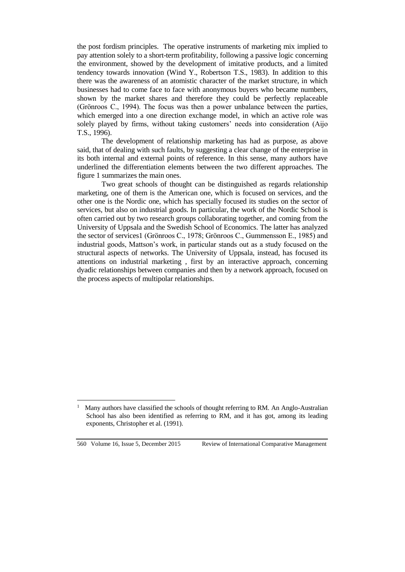the post fordism principles. The operative instruments of marketing mix implied to pay attention solely to a short-term profitability, following a passive logic concerning the environment, showed by the development of imitative products, and a limited tendency towards innovation (Wind Y., Robertson T.S., 1983). In addition to this there was the awareness of an atomistic character of the market structure, in which businesses had to come face to face with anonymous buyers who became numbers, shown by the market shares and therefore they could be perfectly replaceable (Grönroos C., 1994). The focus was then a power unbalance between the parties, which emerged into a one direction exchange model, in which an active role was solely played by firms, without taking customers' needs into consideration (Aijo T.S., 1996).

The development of relationship marketing has had as purpose, as above said, that of dealing with such faults, by suggesting a clear change of the enterprise in its both internal and external points of reference. In this sense, many authors have underlined the differentiation elements between the two different approaches. The figure 1 summarizes the main ones.

Two great schools of thought can be distinguished as regards relationship marketing, one of them is the American one, which is focused on services, and the other one is the Nordic one, which has specially focused its studies on the sector of services, but also on industrial goods. In particular, the work of the Nordic School is often carried out by two research groups collaborating together, and coming from the University of Uppsala and the Swedish School of Economics. The latter has analyzed the sector of services1 (Grönroos C., 1978; Grönroos C., Gummensson E., 1985) and industrial goods, Mattson's work, in particular stands out as a study focused on the structural aspects of networks. The University of Uppsala, instead, has focused its attentions on industrial marketing , first by an interactive approach, concerning dyadic relationships between companies and then by a network approach, focused on the process aspects of multipolar relationships.

 $\overline{a}$ 1 Many authors have classified the schools of thought referring to RM. An Anglo-Australian School has also been identified as referring to RM, and it has got, among its leading exponents, Christopher et al. (1991).

<sup>560</sup> Volume 16, Issue 5, December 2015 Review of International Comparative Management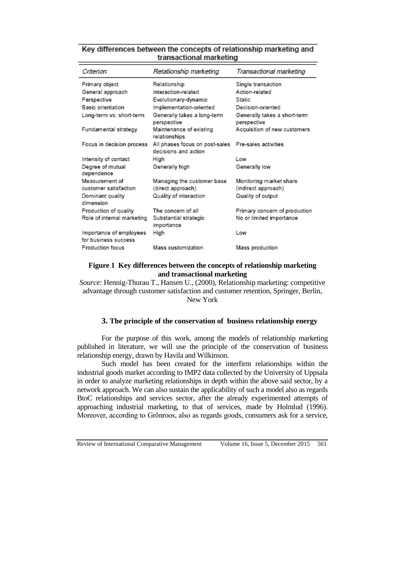# Key differences between the concepts of relationship marketing and transactional marketing

| Criterion                                       | Relationship marketing                                  | Transactional marketing                     |
|-------------------------------------------------|---------------------------------------------------------|---------------------------------------------|
| Primary object                                  | Relationship                                            | Single transaction                          |
| General approach                                | Interaction-related                                     | Action-related                              |
| Perspective                                     | Evolutionary-dynamic                                    | Static                                      |
| <b>Basic orientation</b>                        | Implementation-oriented                                 | Decision-oriented                           |
| Long-term vs. short-term                        | Generally takes a long-term<br>perspective              | Generally takes a short-term<br>perspective |
| Fundamental strategy                            | Maintenance of existing<br>relationships                | Acquisition of new customers                |
| Focus in decision process                       | All phases focus on post-sales<br>decisions and action. | Pre-sales activities                        |
| Intensity of contact                            | High                                                    | l ow                                        |
| Degree of mutual<br>dependence                  | Generally high                                          | Generally low                               |
| Measurement of                                  | Managing the customer base                              | Monitoring market share                     |
| customer satisfaction                           | (direct approach)                                       | (indirect approach)                         |
| Dominant quality<br>dimension                   | Quality of interaction                                  | Quality of output                           |
| Production of quality                           | The concern of all                                      | Primary concern of production               |
| Role of internal marketing                      | Substantial strategic<br>importance                     | No or limited importance                    |
| Importance of employees<br>for business success | High                                                    | Low                                         |
| Production focus                                | <b>Mass customization</b>                               | Mass production                             |

# **Figure 1 Key differences between the concepts of relationship marketing and transactional marketing**

*Source*: Hennig-Thurau T., Hansen U., (2000), Relationship marketing: competitive advantage through customer satisfaction and customer retention, Springer, Berlin, New York

## **3. The principle of the conservation of business relationship energy**

For the purpose of this work, among the models of relationship marketing published in literature, we will use the principle of the conservation of business relationship energy, drawn by Havila and Wilkinson.

Such model has been created for the interfirm relationships within the industrial goods market according to IMP2 data collected by the University of Uppsala in order to analyze marketing relationships in depth within the above said sector, by a network approach. We can also sustain the applicability of such a model also as regards BtoC relationships and services sector, after the already experimented attempts of approaching industrial marketing, to that of services, made by Holmlud (1996). Moreover, according to Grönroos, also as regards goods, consumers ask for a service,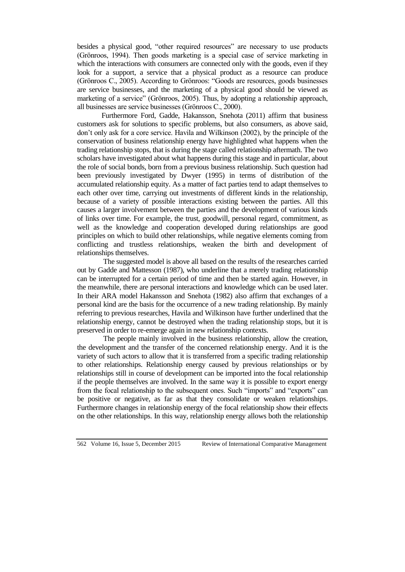besides a physical good, "other required resources" are necessary to use products (Grӧnroos, 1994). Then goods marketing is a special case of service marketing in which the interactions with consumers are connected only with the goods, even if they look for a support, a service that a physical product as a resource can produce (Grönroos C., 2005). According to Grönroos: "Goods are resources, goods businesses are service businesses, and the marketing of a physical good should be viewed as marketing of a service" (Grönroos, 2005). Thus, by adopting a relationship approach, all businesses are service businesses (Grönroos C., 2000).

Furthermore Ford, Gadde, Hakansson, Snehota (2011) affirm that business customers ask for solutions to specific problems, but also consumers, as above said, don't only ask for a core service. Havila and Wilkinson (2002), by the principle of the conservation of business relationship energy have highlighted what happens when the trading relationship stops, that is during the stage called relationship aftermath. The two scholars have investigated about what happens during this stage and in particular, about the role of social bonds, born from a previous business relationship. Such question had been previously investigated by Dwyer (1995) in terms of distribution of the accumulated relationship equity. As a matter of fact parties tend to adapt themselves to each other over time, carrying out investments of different kinds in the relationship, because of a variety of possible interactions existing between the parties. All this causes a larger involvement between the parties and the development of various kinds of links over time. For example, the trust, goodwill, personal regard, commitment, as well as the knowledge and cooperation developed during relationships are good principles on which to build other relationships, while negative elements coming from conflicting and trustless relationships, weaken the birth and development of relationships themselves.

The suggested model is above all based on the results of the researches carried out by Gadde and Mattesson (1987), who underline that a merely trading relationship can be interrupted for a certain period of time and then be started again. However, in the meanwhile, there are personal interactions and knowledge which can be used later. In their ARA model Hakansson and Snehota (1982) also affirm that exchanges of a personal kind are the basis for the occurrence of a new trading relationship. By mainly referring to previous researches, Havila and Wilkinson have further underlined that the relationship energy, cannot be destroyed when the trading relationship stops, but it is preserved in order to re-emerge again in new relationship contexts.

The people mainly involved in the business relationship, allow the creation, the development and the transfer of the concerned relationship energy. And it is the variety of such actors to allow that it is transferred from a specific trading relationship to other relationships. Relationship energy caused by previous relationships or by relationships still in course of development can be imported into the focal relationship if the people themselves are involved. In the same way it is possible to export energy from the focal relationship to the subsequent ones. Such "imports" and "exports" can be positive or negative, as far as that they consolidate or weaken relationships. Furthermore changes in relationship energy of the focal relationship show their effects on the other relationships. In this way, relationship energy allows both the relationship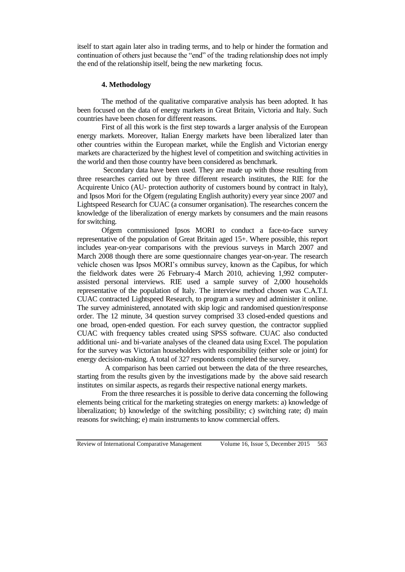itself to start again later also in trading terms, and to help or hinder the formation and continuation of others just because the "end" of the trading relationship does not imply the end of the relationship itself, being the new marketing focus.

#### **4. Methodology**

The method of the qualitative comparative analysis has been adopted. It has been focused on the data of energy markets in Great Britain, Victoria and Italy. Such countries have been chosen for different reasons.

First of all this work is the first step towards a larger analysis of the European energy markets. Moreover, Italian Energy markets have been liberalized later than other countries within the European market, while the English and Victorian energy markets are characterized by the highest level of competition and switching activities in the world and then those country have been considered as benchmark.

Secondary data have been used. They are made up with those resulting from three researches carried out by three different research institutes, the RIE for the Acquirente Unico (AU- protection authority of customers bound by contract in Italy), and Ipsos Mori for the Ofgem (regulating English authority) every year since 2007 and Lightspeed Research for CUAC (a consumer organisation). The researches concern the knowledge of the liberalization of energy markets by consumers and the main reasons for switching.

Ofgem commissioned Ipsos MORI to conduct a face-to-face survey representative of the population of Great Britain aged 15+. Where possible, this report includes year-on-year comparisons with the previous surveys in March 2007 and March 2008 though there are some questionnaire changes year-on-year. The research vehicle chosen was Ipsos MORI's omnibus survey, known as the Capibus, for which the fieldwork dates were 26 February-4 March 2010, achieving 1,992 computerassisted personal interviews. RIE used a sample survey of 2,000 households representative of the population of Italy. The interview method chosen was C.A.T.I. CUAC contracted Lightspeed Research, to program a survey and administer it online. The survey administered, annotated with skip logic and randomised question/response order. The 12 minute, 34 question survey comprised 33 closed-ended questions and one broad, open-ended question. For each survey question, the contractor supplied CUAC with frequency tables created using SPSS software. CUAC also conducted additional uni- and bi-variate analyses of the cleaned data using Excel. The population for the survey was Victorian householders with responsibility (either sole or joint) for energy decision-making. A total of 327 respondents completed the survey.

 A comparison has been carried out between the data of the three researches, starting from the results given by the investigations made by the above said research institutes on similar aspects, as regards their respective national energy markets.

From the three researches it is possible to derive data concerning the following elements being critical for the marketing strategies on energy markets: a) knowledge of liberalization; b) knowledge of the switching possibility; c) switching rate; d) main reasons for switching; e) main instruments to know commercial offers.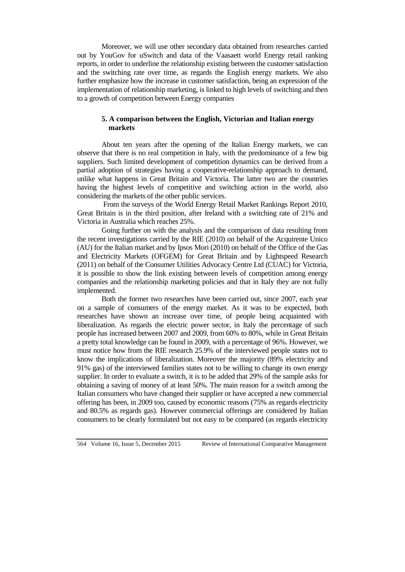Moreover, we will use other secondary data obtained from researches carried out by YouGov for uSwitch and data of the Vaasaett world Energy retail ranking reports, in order to underline the relationship existing between the customer satisfaction and the switching rate over time, as regards the English energy markets. We also further emphasize how the increase in customer satisfaction, being an expression of the implementation of relationship marketing, is linked to high levels of switching and then to a growth of competition between Energy companies

# **5. A comparison between the English, Victorian and Italian energy markets**

About ten years after the opening of the Italian Energy markets, we can observe that there is no real competition in Italy, with the predominance of a few big suppliers. Such limited development of competition dynamics can be derived from a partial adoption of strategies having a cooperative-relationship approach to demand, unlike what happens in Great Britain and Victoria. The latter two are the countries having the highest levels of competitive and switching action in the world, also considering the markets of the other public services.

From the surveys of the World Energy Retail Market Rankings Report 2010, Great Britain is in the third position, after Ireland with a switching rate of 21% and Victoria in Australia which reaches 25%.

Going further on with the analysis and the comparison of data resulting from the recent investigations carried by the RIE (2010) on behalf of the Acquirente Unico (AU) for the Italian market and by Ipsos Mori (2010) on behalf of the Office of the Gas and Electricity Markets (OFGEM) for Great Britain and by Lightspeed Research (2011) on behalf of the Consumer Utilities Advocacy Centre Ltd (CUAC) for Victoria, it is possible to show the link existing between levels of competition among energy companies and the relationship marketing policies and that in Italy they are not fully implemented.

Both the former two researches have been carried out, since 2007, each year on a sample of consumers of the energy market. As it was to be expected, both researches have shown an increase over time, of people being acquainted with liberalization. As regards the electric power sector, in Italy the percentage of such people has increased between 2007 and 2009, from 60% to 80%, while in Great Britain a pretty total knowledge can be found in 2009, with a percentage of 96%. However, we must notice how from the RIE research 25.9% of the interviewed people states not to know the implications of liberalization. Moreover the majority (89% electricity and 91% gas) of the interviewed families states not to be willing to change its own energy supplier. In order to evaluate a switch, it is to be added that 29% of the sample asks for obtaining a saving of money of at least 50%. The main reason for a switch among the Italian consumers who have changed their supplier or have accepted a new commercial offering has been, in 2009 too, caused by economic reasons (75% as regards electricity and 80.5% as regards gas). However commercial offerings are considered by Italian consumers to be clearly formulated but not easy to be compared (as regards electricity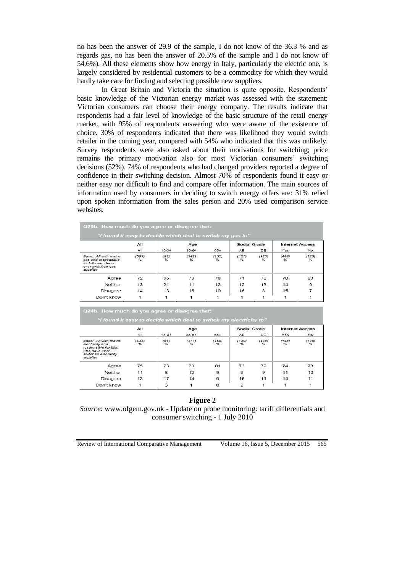no has been the answer of 29.9 of the sample, I do not know of the 36.3 % and as regards gas, no has been the answer of 20.5% of the sample and I do not know of 54.6%). All these elements show how energy in Italy, particularly the electric one, is largely considered by residential customers to be a commodity for which they would hardly take care for finding and selecting possible new suppliers.

In Great Britain and Victoria the situation is quite opposite. Respondents' basic knowledge of the Victorian energy market was assessed with the statement: Victorian consumers can choose their energy company. The results indicate that respondents had a fair level of knowledge of the basic structure of the retail energy market, with 95% of respondents answering who were aware of the existence of choice. 30% of respondents indicated that there was likelihood they would switch retailer in the coming year, compared with 54% who indicated that this was unlikely. Survey respondents were also asked about their motivations for switching; price remains the primary motivation also for most Victorian consumers' switching decisions (52%). 74% of respondents who had changed providers reported a degree of confidence in their switching decision. Almost 70% of respondents found it easy or neither easy nor difficult to find and compare offer information. The main sources of information used by consumers in deciding to switch energy offers are: 31% relied upon spoken information from the sales person and 20% used comparison service websites.

|                                                                                                    | All                    |           | Age        |            | Social Grade |            | <b>Internet Access</b> |            |
|----------------------------------------------------------------------------------------------------|------------------------|-----------|------------|------------|--------------|------------|------------------------|------------|
|                                                                                                    | All                    | $15 - 34$ | $35-64$    | $65+$      | AB           | DE         | Yes                    | No         |
| Base: All with mains<br>gas and responsible<br>for bills who have<br>ever switched gas<br>supplier | (589)<br>$\frac{9}{6}$ | (86)<br>% | (348)<br>℀ | (155)<br>℀ | (127)<br>℁   | (123)<br>℁ | (466)<br>℅             | (123)<br>% |
| Agree                                                                                              | 72                     | 65        | 73         | 78         | 71           | 78         | 70                     | 83         |
| Neither                                                                                            | 13                     | 21        | 11         | 12         | 12           | 13         | 14                     | 9          |
| Disagree                                                                                           | 14                     | 13        | 15         | 10         | 16           | 8          | 15                     |            |
| Don't know                                                                                         |                        | 1         | 1          | 1          |              |            |                        |            |

| "I found it easy to decide which deal to switch my electricity to"                                                    |            |           |            |            |                     |            |                        |            |  |  |
|-----------------------------------------------------------------------------------------------------------------------|------------|-----------|------------|------------|---------------------|------------|------------------------|------------|--|--|
|                                                                                                                       | AII        |           | Age        |            | <b>Social Grade</b> |            | <b>Internet Access</b> |            |  |  |
|                                                                                                                       | All        | 15-34     | 35-64      | 65+        | AB                  | DE.        | Yes                    | No         |  |  |
| Base: All with mains<br>electricity and<br>responsible for bills<br>who have ever<br>switched electricity<br>supplier | (633)<br>℁ | (91)<br>% | (374)<br>% | (168)<br>℁ | (130)<br>%          | (135)<br>℁ | (495)<br>%             | (138)<br>% |  |  |
| Agree                                                                                                                 | 75         | 73        | 73         | 81         | 73                  | 79         | 74                     | 78         |  |  |
| Neither                                                                                                               | 11         | 8         | 12         | 9          | 9                   | 9          | 11                     | 10         |  |  |
| Disagree                                                                                                              | 13         | 17        | 14         | 9          | 16                  | 11         | 14                     | 11         |  |  |
| Don't know                                                                                                            | 1          | 3         | 1          | 0          | 2                   |            |                        |            |  |  |

#### **Figure 2**

*Source*: www.ofgem.gov.uk - Update on probe monitoring: tariff differentials and consumer switching - 1 July 2010

Review of International Comparative Management Volume 16, Issue 5, December 2015 565

Q24b. How much do you agree or disagree that: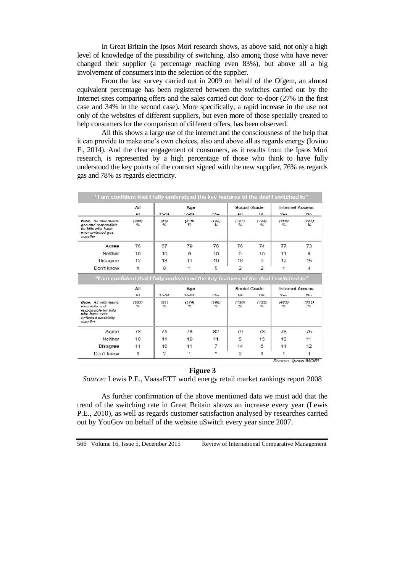In Great Britain the Ipsos Mori research shows, as above said, not only a high level of knowledge of the possibility of switching, also among those who have never changed their supplier (a percentage reaching even 83%), but above all a big involvement of consumers into the selection of the supplier.

From the last survey carried out in 2009 on behalf of the Ofgem, an almost equivalent percentage has been registered between the switches carried out by the Internet sites comparing offers and the sales carried out door–to-door (27% in the first case and 34% in the second case). More specifically, a rapid increase in the use not only of the websites of different suppliers, but even more of those specially created to help consumers for the comparison of different offers, has been observed.

All this shows a large use of the internet and the consciousness of the help that it can provide to make one's own choices, also and above all as regards energy (Iovino F., 2014). And the clear engagement of consumers, as it results from the Ipsos Mori research, is represented by a high percentage of those who think to have fully understood the key points of the contract signed with the new supplier, 76% as regards gas and 78% as regards electricity.

| "I am confident that I fully understand the key features of the deal I switched to"                                   |                                                                                     |                         |            |            |                |                |                        |            |  |
|-----------------------------------------------------------------------------------------------------------------------|-------------------------------------------------------------------------------------|-------------------------|------------|------------|----------------|----------------|------------------------|------------|--|
|                                                                                                                       | AII                                                                                 |                         | Age        |            | Social Grade   |                | <b>Internet Access</b> |            |  |
|                                                                                                                       | All                                                                                 | 15-34                   | 35-64      | $85+$      | AB             | DE             | Yes                    | No         |  |
| Base: All with mains<br>gas and responsible<br>for bills who have<br>ever switched gas<br>supplier                    | (589)<br>96                                                                         | (86)<br>$\frac{96}{26}$ | (348)<br>℅ | (155)<br>% | (127)<br>%     | (123)<br>%     | (466)<br>%             | (123)<br>℁ |  |
| Agree                                                                                                                 | 76                                                                                  | 67                      | 79         | 76         | 76             | 74             | 77                     | 73         |  |
| Neither                                                                                                               | 10                                                                                  | 15                      | 9          | 10         | 5              | 15             | 11                     | 8          |  |
| Disagree                                                                                                              | 12                                                                                  | 18                      | 11         | 10         | 16             | g              | 12                     | 15         |  |
| Don't know                                                                                                            | 1                                                                                   | 0                       | 1          | 5          | $\mathfrak{p}$ | $\mathfrak{p}$ | 1                      | 4          |  |
|                                                                                                                       | "I am confident that I fully understand the key features of the deal I switched to" |                         |            |            |                |                |                        |            |  |
|                                                                                                                       | All                                                                                 |                         | Age        |            |                | Social Grade   | <b>Internet Access</b> |            |  |
|                                                                                                                       | All                                                                                 | 15-34                   | $35-64$    | $85+$      | AB.            | DE             | Yes                    | No         |  |
| Base: All with mains<br>electricity and<br>responsible for bills<br>who have ever<br>switched electricity<br>supplier | (633)<br>%                                                                          | (91)<br>$\approx$       | (374)<br>℅ | (168)<br>℅ | (130)<br>%     | (135)<br>%     | (495)<br>$\%$          | (138)<br>% |  |
| Agree                                                                                                                 |                                                                                     |                         |            |            |                |                |                        |            |  |
|                                                                                                                       | 78                                                                                  | 71                      | 78         | 82         | 79             | 78             | 78                     | 75         |  |
| Neither                                                                                                               | 10                                                                                  | 11                      | 10         | 11         | 5              | 15             | 10                     | 11         |  |
| Disagree                                                                                                              | 11                                                                                  | 16                      | 11         | 7          | 14             | 6              | 11                     | 12         |  |
| Don't know                                                                                                            | 1                                                                                   | $\overline{2}$          | 1          | ×          | $\overline{2}$ | 1              | 1                      | 1          |  |

### **Figure 3**

*Source:* Lewis P.E., VaasaETT world energy retail market rankings report 2008

As further confirmation of the above mentioned data we must add that the trend of the switching rate in Great Britain shows an increase every year (Lewis P.E., 2010), as well as regards customer satisfaction analysed by researches carried out by YouGov on behalf of the website uSwitch every year since 2007.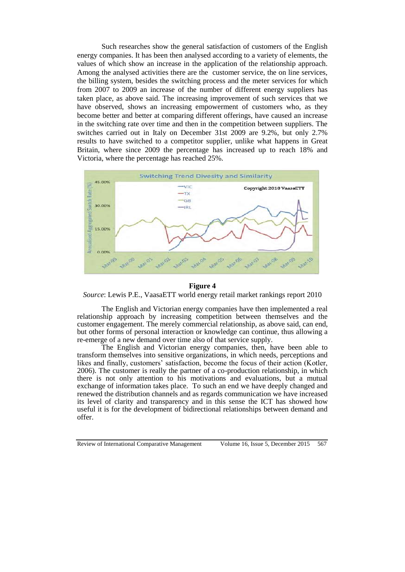Such researches show the general satisfaction of customers of the English energy companies. It has been then analysed according to a variety of elements, the values of which show an increase in the application of the relationship approach. Among the analysed activities there are the customer service, the on line services, the billing system, besides the switching process and the meter services for which from 2007 to 2009 an increase of the number of different energy suppliers has taken place, as above said. The increasing improvement of such services that we have observed, shows an increasing empowerment of customers who, as they become better and better at comparing different offerings, have caused an increase in the switching rate over time and then in the competition between suppliers. The switches carried out in Italy on December 31st 2009 are 9.2%, but only 2.7% results to have switched to a competitor supplier, unlike what happens in Great Britain, where since 2009 the percentage has increased up to reach 18% and Victoria, where the percentage has reached 25%.



#### **Figure 4**

*Source*: Lewis P.E., VaasaETT world energy retail market rankings report 2010

The English and Victorian energy companies have then implemented a real relationship approach by increasing competition between themselves and the customer engagement. The merely commercial relationship, as above said, can end, but other forms of personal interaction or knowledge can continue, thus allowing a re-emerge of a new demand over time also of that service supply.

The English and Victorian energy companies, then, have been able to transform themselves into sensitive organizations, in which needs, perceptions and likes and finally, customers' satisfaction, become the focus of their action (Kotler, 2006). The customer is really the partner of a co-production relationship, in which there is not only attention to his motivations and evaluations, but a mutual exchange of information takes place. To such an end we have deeply changed and renewed the distribution channels and as regards communication we have increased its level of clarity and transparency and in this sense the ICT has showed how useful it is for the development of bidirectional relationships between demand and offer.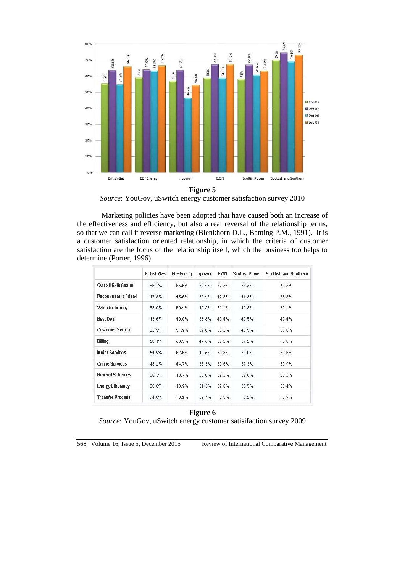

*Source*: YouGov, uSwitch energy customer satisfaction survey 2010

Marketing policies have been adopted that have caused both an increase of the effectiveness and efficiency, but also a real reversal of the relationship terms, so that we can call it reverse marketing (Blenkhorn D.L., Banting P.M., 1991). It is a customer satisfaction oriented relationship, in which the criteria of customer satisfaction are the focus of the relationship itself, which the business too helps to determine (Porter, 1996).

|                             | British Gas | <b>EDF Energy</b> | npower | E.ON  | <b>ScottishPower</b> | <b>Scottish and Southern</b> |
|-----------------------------|-------------|-------------------|--------|-------|----------------------|------------------------------|
| <b>Overall Satisfaction</b> | 66.1%       | 66.6%             | 54.4%  | 67.2% | 63.3%                | 73.2%                        |
| <b>Recommend a Friend</b>   | 47.3%       | 45.6%             | 32.4%  | 47.2% | 41.2%                | 55.8%                        |
| Value for Money             | 53.0%       | 50.4%             | 42.2%  | 53.1% | 49.2%                | 59.1%                        |
| <b>Best Deal</b>            | 43.6%       | 40.0%             | 28.8%  | 42.4% | 40.5%                | 42.4%                        |
| <b>Customer Service</b>     | 52.5%       | 54.9%             | 39.8%  | 52.1% | 48.5%                | 62.0%                        |
| <b>Billing</b>              | 68.4%       | 63.3%             | 47.6%  | 68.2% | 67.2%                | 70.0%                        |
| <b>Meter Services</b>       | 64.9%       | 57.5%             | 42.6%  | 62.2% | 59.0%                | 59.5%                        |
| <b>Online Services</b>      | 48.1%       | 44.7%             | 33.3%  | 53.6% | 57.3%                | 37.9%                        |
| <b>Reward Schemes</b>       | 20.3%       | 43.7%             | 28.6%  | 39.2% | 12.8%                | 30.2%                        |
| <b>Energy Efficiency</b>    | 28.6%       | 40.9%             | 21.3%  | 29.8% | 20.5%                | 33.4%                        |
| <b>Transfer Process</b>     | 74.0%       | 73.1%             | 69.4%  | 77.5% | 75.1%                | 75.9%                        |

# **Figure 6**

*Source*: YouGov, uSwitch energy customer satisifaction survey 2009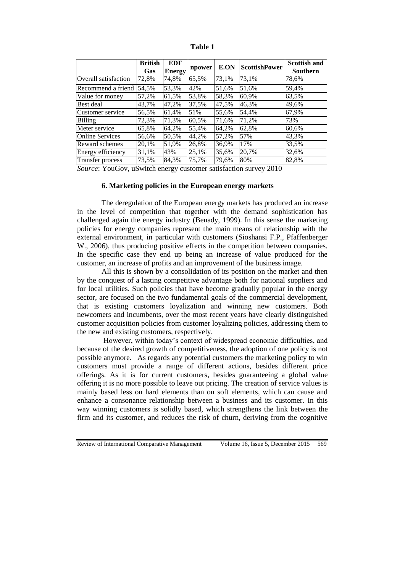|                         | <b>British</b> | <b>EDF</b>    | npower | E.ON  | <b>ScottishPower</b> | <b>Scottish and</b> |
|-------------------------|----------------|---------------|--------|-------|----------------------|---------------------|
|                         | Gas            | <b>Energy</b> |        |       |                      | Southern            |
| Overall satisfaction    | 72,8%          | 74,8%         | 65,5%  | 73,1% | 73,1%                | 78,6%               |
| Recommend a friend      | 54.5%          | 53,3%         | 42%    | 51,6% | 51.6%                | 59,4%               |
| Value for money         | 57,2%          | 61,5%         | 53,8%  | 58,3% | 60,9%                | 63,5%               |
| Best deal               | 43,7%          | 47,2%         | 37,5%  | 47,5% | 46,3%                | 49,6%               |
| Customer service        | 56,5%          | 61,4%         | 51%    | 55,6% | 54,4%                | 67,9%               |
| Billing                 | 72,3%          | 71,3%         | 60,5%  | 71,6% | 71,2%                | 73%                 |
| Meter service           | 65,8%          | 64,2%         | 55,4%  | 64,2% | 62,8%                | 60.6%               |
| <b>Online Services</b>  | 56,6%          | 50,5%         | 44,2%  | 57.2% | 57%                  | 43,3%               |
| Reward schemes          | 20,1%          | 51,9%         | 26,8%  | 36,9% | 17%                  | 33,5%               |
| Energy efficiency       | 31,1%          | 43%           | 25,1%  | 35,6% | 20,7%                | 32,6%               |
| <b>Transfer process</b> | 73,5%          | 84,3%         | 75,7%  | 79,6% | 80%                  | 82,8%               |

**Table 1**

*Source*: YouGov, uSwitch energy customer satisfaction survey 2010

#### **6. Marketing policies in the European energy markets**

The deregulation of the European energy markets has produced an increase in the level of competition that together with the demand sophistication has challenged again the energy industry (Benady, 1999). In this sense the marketing policies for energy companies represent the main means of relationship with the external environment, in particular with customers (Sioshansi F.P., Pfaffenberger W., 2006), thus producing positive effects in the competition between companies. In the specific case they end up being an increase of value produced for the customer, an increase of profits and an improvement of the business image.

All this is shown by a consolidation of its position on the market and then by the conquest of a lasting competitive advantage both for national suppliers and for local utilities. Such policies that have become gradually popular in the energy sector, are focused on the two fundamental goals of the commercial development, that is existing customers loyalization and winning new customers. Both newcomers and incumbents, over the most recent years have clearly distinguished customer acquisition policies from customer loyalizing policies, addressing them to the new and existing customers, respectively.

However, within today's context of widespread economic difficulties, and because of the desired growth of competitiveness, the adoption of one policy is not possible anymore. As regards any potential customers the marketing policy to win customers must provide a range of different actions, besides different price offerings. As it is for current customers, besides guaranteeing a global value offering it is no more possible to leave out pricing. The creation of service values is mainly based less on hard elements than on soft elements, which can cause and enhance a consonance relationship between a business and its customer. In this way winning customers is solidly based, which strengthens the link between the firm and its customer, and reduces the risk of churn, deriving from the cognitive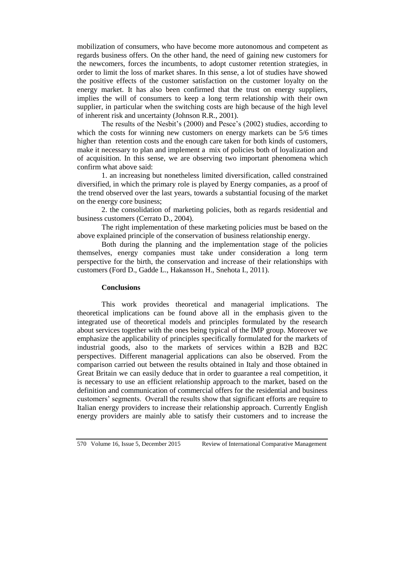mobilization of consumers, who have become more autonomous and competent as regards business offers. On the other hand, the need of gaining new customers for the newcomers, forces the incumbents, to adopt customer retention strategies, in order to limit the loss of market shares. In this sense, a lot of studies have showed the positive effects of the customer satisfaction on the customer loyalty on the energy market. It has also been confirmed that the trust on energy suppliers, implies the will of consumers to keep a long term relationship with their own supplier, in particular when the switching costs are high because of the high level of inherent risk and uncertainty (Johnson R.R., 2001).

The results of the Nesbit's (2000) and Pesce's (2002) studies, according to which the costs for winning new customers on energy markets can be  $5/6$  times higher than retention costs and the enough care taken for both kinds of customers, make it necessary to plan and implement a mix of policies both of loyalization and of acquisition. In this sense, we are observing two important phenomena which confirm what above said:

1. an increasing but nonetheless limited diversification, called constrained diversified, in which the primary role is played by Energy companies, as a proof of the trend observed over the last years, towards a substantial focusing of the market on the energy core business;

2. the consolidation of marketing policies, both as regards residential and business customers (Cerrato D., 2004).

The right implementation of these marketing policies must be based on the above explained principle of the conservation of business relationship energy.

Both during the planning and the implementation stage of the policies themselves, energy companies must take under consideration a long term perspective for the birth, the conservation and increase of their relationships with customers (Ford D., Gadde L., Hakansson H., Snehota I., 2011).

#### **Conclusions**

This work provides theoretical and managerial implications. The theoretical implications can be found above all in the emphasis given to the integrated use of theoretical models and principles formulated by the research about services together with the ones being typical of the IMP group. Moreover we emphasize the applicability of principles specifically formulated for the markets of industrial goods, also to the markets of services within a B2B and B2C perspectives. Different managerial applications can also be observed. From the comparison carried out between the results obtained in Italy and those obtained in Great Britain we can easily deduce that in order to guarantee a real competition, it is necessary to use an efficient relationship approach to the market, based on the definition and communication of commercial offers for the residential and business customers' segments. Overall the results show that significant efforts are require to Italian energy providers to increase their relationship approach. Currently English energy providers are mainly able to satisfy their customers and to increase the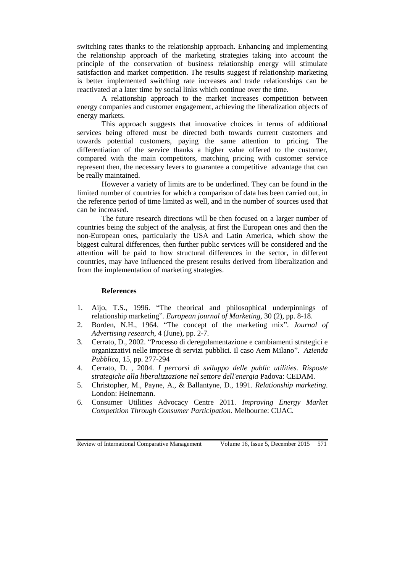switching rates thanks to the relationship approach. Enhancing and implementing the relationship approach of the marketing strategies taking into account the principle of the conservation of business relationship energy will stimulate satisfaction and market competition. The results suggest if relationship marketing is better implemented switching rate increases and trade relationships can be reactivated at a later time by social links which continue over the time.

A relationship approach to the market increases competition between energy companies and customer engagement, achieving the liberalization objects of energy markets.

This approach suggests that innovative choices in terms of additional services being offered must be directed both towards current customers and towards potential customers, paying the same attention to pricing. The differentiation of the service thanks a higher value offered to the customer, compared with the main competitors, matching pricing with customer service represent then, the necessary levers to guarantee a competitive advantage that can be really maintained.

However a variety of limits are to be underlined. They can be found in the limited number of countries for which a comparison of data has been carried out, in the reference period of time limited as well, and in the number of sources used that can be increased.

The future research directions will be then focused on a larger number of countries being the subject of the analysis, at first the European ones and then the non-European ones, particularly the USA and Latin America, which show the biggest cultural differences, then further public services will be considered and the attention will be paid to how structural differences in the sector, in different countries, may have influenced the present results derived from liberalization and from the implementation of marketing strategies.

#### **References**

- 1. Aijo, T.S., 1996. "The theorical and philosophical underpinnings of relationship marketing"*. European journal of Marketing,* 30 (2), pp. 8-18.
- 2. Borden, N.H., 1964. "The concept of the marketing mix". *Journal of Advertising research*, 4 (June), pp. 2-7.
- 3. Cerrato, D., 2002. "Processo di deregolamentazione e cambiamenti strategici e organizzativi nelle imprese di servizi pubblici. Il caso Aem Milano"*. Azienda Pubblica*, 15, pp. 277-294
- 4. Cerrato, D. , 2004. *I percorsi di sviluppo delle public utilities. Risposte strategiche alla liberalizzazione nel settore dell'energia* Padova: CEDAM.
- 5. Christopher, M., Payne, A., & Ballantyne, D., 1991. *Relationship marketing*. London: Heinemann.
- 6. Consumer Utilities Advocacy Centre 2011*. Improving Energy Market Competition Through Consumer Participation.* Melbourne: CUAC.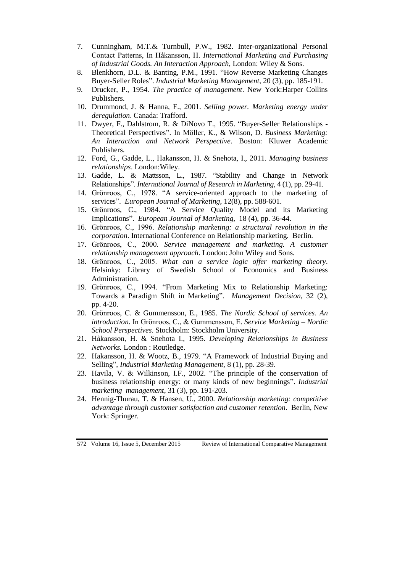- 7. Cunningham, M.T.& Turnbull, P.W., 1982. Inter-organizational Personal Contact Patterns, In Håkansson, H. *International Marketing and Purchasing of Industrial Goods. An Interaction Approach*, London: Wiley & Sons.
- 8. Blenkhorn, D.L. & Banting, P.M., 1991. "How Reverse Marketing Changes Buyer-Seller Roles". *Industrial Marketing Management*, 20 (3), pp. 185-191.
- 9. Drucker, P., 1954. *The practice of management*. New York:Harper Collins Publishers.
- 10. Drummond, J. & Hanna, F., 2001. *Selling power. Marketing energy under deregulation*. Canada: Trafford.
- 11. Dwyer, F., Dahlstrom, R. & DiNovo T., 1995. "Buyer-Seller Relationships Theoretical Perspectives". In Möller, K., & Wilson, D. *Business Marketing: An Interaction and Network Perspective*. Boston: Kluwer Academic Publishers.
- 12. Ford, G., Gadde, L., Hakansson, H. & Snehota, I., 2011. *Managing business relationships*. London:Wiley.
- 13. Gadde, L. & Mattsson, L., 1987. "Stability and Change in Network Relationships". *International Journal of Research in Marketing*, 4 (1), pp. 29-41.
- 14. Grönroos, C., 1978. "A service-oriented approach to the marketing of services". *European Journal of Marketing*, 12(8), pp. 588-601.
- 15. Grönroos, C., 1984. "A Service Quality Model and its Marketing Implications". *European Journal of Marketing,* 18 (4), pp. 36-44.
- 16. Grönroos, C., 1996. *Relationship marketing: a structural revolution in the corporation*. International Conference on Relationship marketing. Berlin.
- 17. Grönroos, C., 2000. *Service management and marketing. A customer relationship management approach*. London: John Wiley and Sons.
- 18. Grönroos, C., 2005. *What can a service logic offer marketing theory*. Helsinky: Library of Swedish School of Economics and Business Administration.
- 19. Grönroos, C., 1994. "From Marketing Mix to Relationship Marketing: Towards a Paradigm Shift in Marketing"*. Management Decision,* 32 (2), pp. 4-20.
- 20. Grönroos, C. & Gummensson, E., 1985. *The Nordic School of services. An introduction.* In Grönroos, C., & Gummensson, E. *Service Marketing – Nordic School Perspectives*. Stockholm: Stockholm University.
- 21. Håkansson, H. & Snehota I., 1995. *Developing Relationships in Business Networks.* London : Routledge.
- 22. Hakansson, H. & Wootz, B., 1979. "A Framework of Industrial Buying and Selling", *Industrial Marketing Management,* 8 (1), pp. 28-39.
- 23. Havila, V. & Wilkinson, I.F., 2002. "The principle of the conservation of business relationship energy: or many kinds of new beginnings". *Industrial marketing management*, 31 (3), pp. 191-203.
- 24. Hennig-Thurau, T. & Hansen, U., 2000. *Relationship marketing: competitive advantage through customer satisfaction and customer retention*. Berlin, New York: Springer.